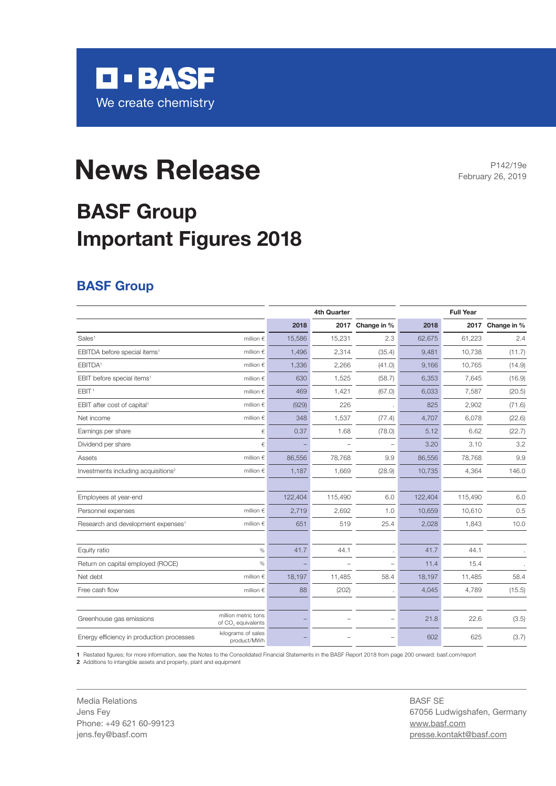

# **News Release** February 26, 2019

## **BASF Group Important Figures 2018**

#### **BASF Group**

|                                                                                   |           | 4th Quarter |                          |         | <b>Full Year</b> |                  |
|-----------------------------------------------------------------------------------|-----------|-------------|--------------------------|---------|------------------|------------------|
|                                                                                   | 2018      | 2017        | Change in %              | 2018    |                  | 2017 Change in % |
| Sales <sup>1</sup><br>million $\in$                                               | 15,586    | 15,231      | 2.3                      | 62,675  | 61,223           | 2.4              |
| EBITDA before special items <sup>1</sup><br>million $\epsilon$                    | 1,496     | 2,314       | (35.4)                   | 9,481   | 10,738           | (11.7)           |
| EBITDA <sup>1</sup><br>million $\in$                                              | 1,336     | 2,266       | (41.0)                   | 9,166   | 10,765           | (14.9)           |
| EBIT before special items <sup>1</sup><br>million $\in$                           | 630       | 1,525       | (58.7)                   | 6,353   | 7,645            | (16.9)           |
| EBIT <sup>1</sup><br>million $\epsilon$                                           | 469       | 1,421       | (67.0)                   | 6,033   | 7,587            | (20.5)           |
| EBIT after cost of capital <sup>1</sup><br>million $\epsilon$                     | (929)     | 226         |                          | 825     | 2,902            | (71.6)           |
| Net income<br>million $\in$                                                       | 348       | 1,537       | (77.4)                   | 4,707   | 6,078            | (22.6)           |
| Earnings per share                                                                | €<br>0.37 | 1.68        | (78.0)                   | 5.12    | 6.62             | (22.7)           |
| Dividend per share                                                                | €         |             | $\overline{\phantom{0}}$ | 3.20    | 3.10             | 3.2              |
| Assets<br>million $\in$                                                           | 86,556    | 78,768      | 9.9                      | 86,556  | 78,768           | 9.9              |
| Investments including acquisitions <sup>2</sup><br>million $\epsilon$             | 1,187     | 1,669       | (28.9)                   | 10,735  | 4,364            | 146.0            |
|                                                                                   |           |             |                          |         |                  |                  |
| Employees at year-end                                                             | 122,404   | 115,490     | 6.0                      | 122,404 | 115,490          | 6.0              |
| Personnel expenses<br>million $\epsilon$                                          | 2,719     | 2,692       | 1.0                      | 10,659  | 10,610           | 0.5              |
| Research and development expenses <sup>1</sup><br>million $\in$                   | 651       | 519         | 25.4                     | 2,028   | 1,843            | 10.0             |
|                                                                                   |           |             |                          |         |                  |                  |
| Equity ratio<br>$\%$                                                              | 41.7      | 44.1        |                          | 41.7    | 44.1             |                  |
| Return on capital employed (ROCE)<br>%                                            |           |             | $\qquad \qquad -$        | 11.4    | 15.4             |                  |
| Net debt<br>million $\in$                                                         | 18,197    | 11,485      | 58.4                     | 18,197  | 11,485           | 58.4             |
| Free cash flow<br>million $\in$                                                   | 88        | (202)       |                          | 4,045   | 4,789            | (15.5)           |
|                                                                                   |           |             |                          |         |                  |                  |
| million metric tons<br>Greenhouse gas emissions<br>of CO <sub>2</sub> equivalents |           |             | $\qquad \qquad -$        | 21.8    | 22.6             | (3.5)            |
| kilograms of sales<br>Energy efficiency in production processes<br>product/MWh    |           |             |                          | 602     | 625              | (3.7)            |

**1** Restated figures; for more information, see the Notes to the Consolidated Financial Statements in the BASF Report 2018 from page 200 onward: basf.com/report

**2** Additions to intangible assets and property, plant and equipment

Media Relations Jens Fey Phone: +49 621 60-99123 jens.fey@basf.com

BASF SE 67056 Ludwigshafen, Germany www.basf.com presse.kontakt@basf.com